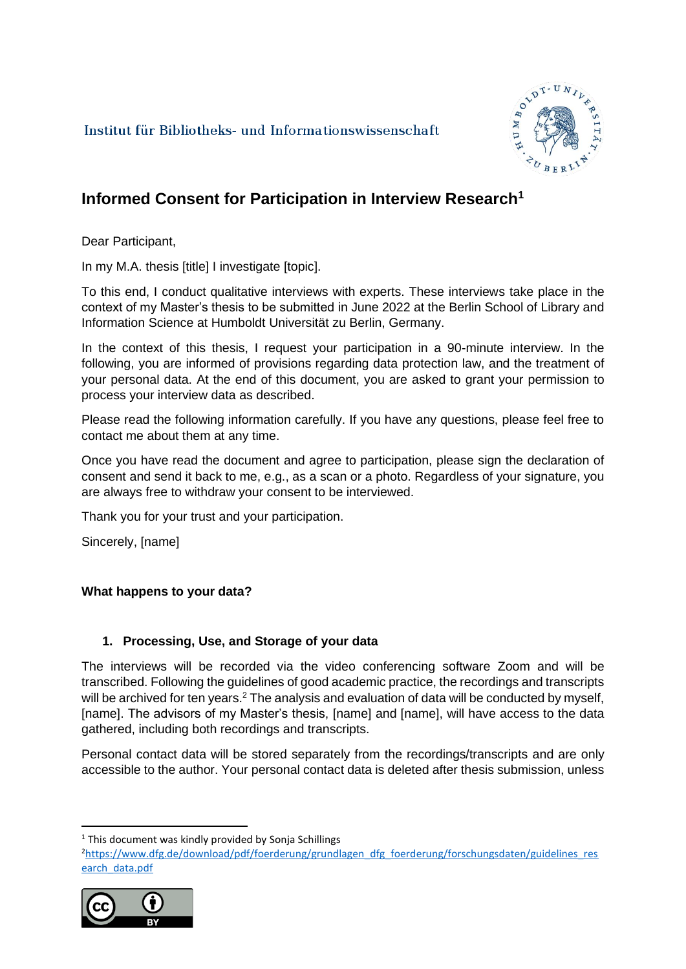Institut für Bibliotheks- und Informationswissenschaft



# **Informed Consent for Participation in Interview Research<sup>1</sup>**

Dear Participant,

In my M.A. thesis [title] I investigate [topic].

To this end, I conduct qualitative interviews with experts. These interviews take place in the context of my Master's thesis to be submitted in June 2022 at the Berlin School of Library and Information Science at Humboldt Universität zu Berlin, Germany.

In the context of this thesis, I request your participation in a 90-minute interview. In the following, you are informed of provisions regarding data protection law, and the treatment of your personal data. At the end of this document, you are asked to grant your permission to process your interview data as described.

Please read the following information carefully. If you have any questions, please feel free to contact me about them at any time.

Once you have read the document and agree to participation, please sign the declaration of consent and send it back to me, e.g., as a scan or a photo. Regardless of your signature, you are always free to withdraw your consent to be interviewed.

Thank you for your trust and your participation.

Sincerely, [name]

# **What happens to your data?**

# **1. Processing, Use, and Storage of your data**

The interviews will be recorded via the video conferencing software Zoom and will be transcribed. Following the guidelines of good academic practice, the recordings and transcripts will be archived for ten years.<sup>2</sup> The analysis and evaluation of data will be conducted by myself, [name]. The advisors of my Master's thesis, [name] and [name], will have access to the data gathered, including both recordings and transcripts.

Personal contact data will be stored separately from the recordings/transcripts and are only accessible to the author. Your personal contact data is deleted after thesis submission, unless

<sup>&</sup>lt;sup>2</sup>[https://www.dfg.de/download/pdf/foerderung/grundlagen\\_dfg\\_foerderung/forschungsdaten/guidelines\\_res](https://www.dfg.de/download/pdf/foerderung/grundlagen_dfg_foerderung/forschungsdaten/guidelines_research_data.pdf) [earch\\_data.pdf](https://www.dfg.de/download/pdf/foerderung/grundlagen_dfg_foerderung/forschungsdaten/guidelines_research_data.pdf)



 $1$  This document was kindly provided by Sonia Schillings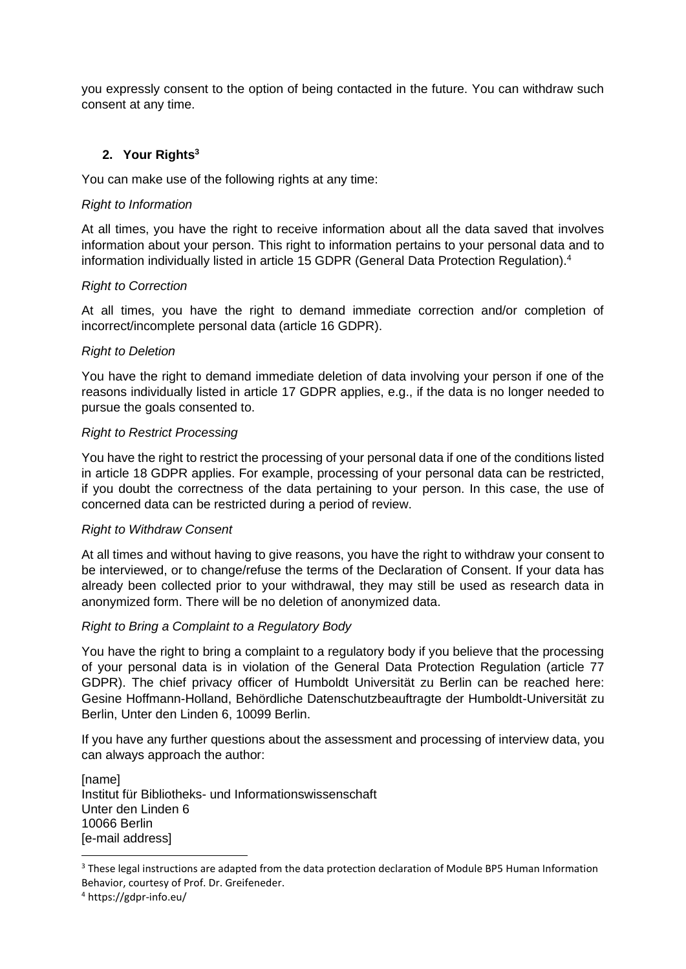you expressly consent to the option of being contacted in the future. You can withdraw such consent at any time.

## **2. Your Rights<sup>3</sup>**

You can make use of the following rights at any time:

### *Right to Information*

At all times, you have the right to receive information about all the data saved that involves information about your person. This right to information pertains to your personal data and to information individually listed in article 15 GDPR (General Data Protection Regulation).<sup>4</sup>

#### *Right to Correction*

At all times, you have the right to demand immediate correction and/or completion of incorrect/incomplete personal data (article 16 GDPR).

#### *Right to Deletion*

You have the right to demand immediate deletion of data involving your person if one of the reasons individually listed in article 17 GDPR applies, e.g., if the data is no longer needed to pursue the goals consented to.

#### *Right to Restrict Processing*

You have the right to restrict the processing of your personal data if one of the conditions listed in article 18 GDPR applies. For example, processing of your personal data can be restricted, if you doubt the correctness of the data pertaining to your person. In this case, the use of concerned data can be restricted during a period of review.

#### *Right to Withdraw Consent*

At all times and without having to give reasons, you have the right to withdraw your consent to be interviewed, or to change/refuse the terms of the Declaration of Consent. If your data has already been collected prior to your withdrawal, they may still be used as research data in anonymized form. There will be no deletion of anonymized data.

## *Right to Bring a Complaint to a Regulatory Body*

You have the right to bring a complaint to a regulatory body if you believe that the processing of your personal data is in violation of the General Data Protection Regulation (article 77 GDPR). The chief privacy officer of Humboldt Universität zu Berlin can be reached here: Gesine Hoffmann-Holland, Behördliche Datenschutzbeauftragte der Humboldt-Universität zu Berlin, Unter den Linden 6, 10099 Berlin.

If you have any further questions about the assessment and processing of interview data, you can always approach the author:

[name] Institut für Bibliotheks- und Informationswissenschaft Unter den Linden 6 10066 Berlin [e-mail address]

<sup>&</sup>lt;sup>3</sup> These legal instructions are adapted from the data protection declaration of Module BP5 Human Information Behavior, courtesy of Prof. Dr. Greifeneder.

<sup>4</sup> https://gdpr-info.eu/